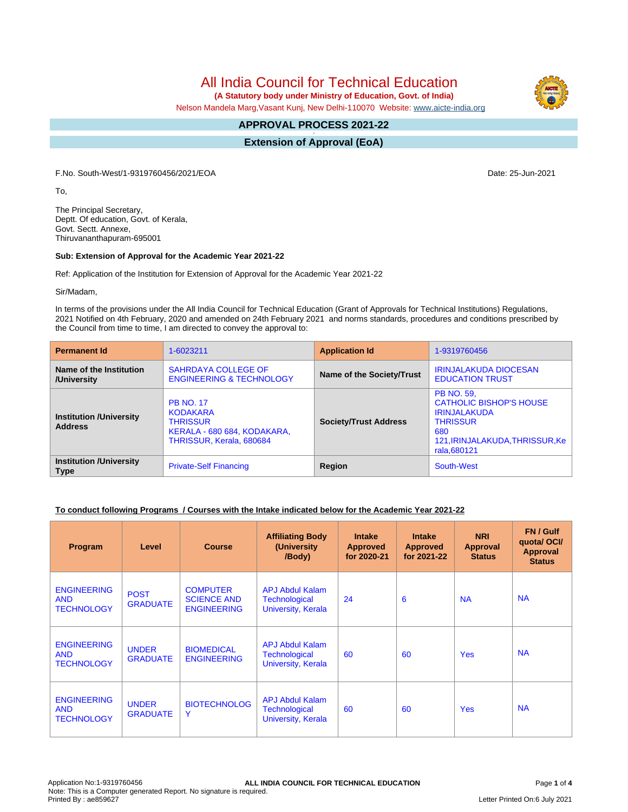All India Council for Technical Education

 **(A Statutory body under Ministry of Education, Govt. of India)**

Nelson Mandela Marg,Vasant Kunj, New Delhi-110070 Website: [www.aicte-india.org](http://www.aicte-india.org)

#### **APPROVAL PROCESS 2021-22 -**

**Extension of Approval (EoA)**

F.No. South-West/1-9319760456/2021/EOA Date: 25-Jun-2021

To,

The Principal Secretary, Deptt. Of education, Govt. of Kerala, Govt. Sectt. Annexe, Thiruvananthapuram-695001

# **Sub: Extension of Approval for the Academic Year 2021-22**

Ref: Application of the Institution for Extension of Approval for the Academic Year 2021-22

Sir/Madam,

In terms of the provisions under the All India Council for Technical Education (Grant of Approvals for Technical Institutions) Regulations, 2021 Notified on 4th February, 2020 and amended on 24th February 2021 and norms standards, procedures and conditions prescribed by the Council from time to time, I am directed to convey the approval to:

| <b>Permanent Id</b>                              | 1-6023211                                                                                                         | <b>Application Id</b>            | 1-9319760456                                                                                                                                           |  |
|--------------------------------------------------|-------------------------------------------------------------------------------------------------------------------|----------------------------------|--------------------------------------------------------------------------------------------------------------------------------------------------------|--|
| Name of the Institution<br>/University           | <b>SAHRDAYA COLLEGE OF</b><br><b>ENGINEERING &amp; TECHNOLOGY</b>                                                 | <b>Name of the Society/Trust</b> | <b>IRINJALAKUDA DIOCESAN</b><br><b>EDUCATION TRUST</b>                                                                                                 |  |
| <b>Institution /University</b><br><b>Address</b> | <b>PB NO. 17</b><br><b>KODAKARA</b><br><b>THRISSUR</b><br>KERALA - 680 684, KODAKARA,<br>THRISSUR, Kerala, 680684 | <b>Society/Trust Address</b>     | <b>PB NO. 59.</b><br><b>CATHOLIC BISHOP'S HOUSE</b><br><b>IRINJALAKUDA</b><br><b>THRISSUR</b><br>680<br>121, IRINJALAKUDA, THRISSUR, Ke<br>rala.680121 |  |
| <b>Institution /University</b><br><b>Type</b>    | <b>Private-Self Financing</b>                                                                                     | Region                           | South-West                                                                                                                                             |  |

# **To conduct following Programs / Courses with the Intake indicated below for the Academic Year 2021-22**

| Program                                               | Level                           | <b>Course</b>                                               | <b>Affiliating Body</b><br>(University<br>/Body)              | <b>Intake</b><br><b>Approved</b><br>for 2020-21 | <b>Intake</b><br><b>Approved</b><br>for 2021-22 | <b>NRI</b><br><b>Approval</b><br><b>Status</b> | FN / Gulf<br>quotal OCI/<br>Approval<br><b>Status</b> |
|-------------------------------------------------------|---------------------------------|-------------------------------------------------------------|---------------------------------------------------------------|-------------------------------------------------|-------------------------------------------------|------------------------------------------------|-------------------------------------------------------|
| <b>ENGINEERING</b><br><b>AND</b><br><b>TECHNOLOGY</b> | <b>POST</b><br><b>GRADUATE</b>  | <b>COMPUTER</b><br><b>SCIENCE AND</b><br><b>ENGINEERING</b> | APJ Abdul Kalam<br>Technological<br>University, Kerala        | 24                                              | 6                                               | <b>NA</b>                                      | <b>NA</b>                                             |
| <b>ENGINEERING</b><br><b>AND</b><br><b>TECHNOLOGY</b> | <b>UNDER</b><br><b>GRADUATE</b> | <b>BIOMEDICAL</b><br><b>ENGINEERING</b>                     | <b>APJ Abdul Kalam</b><br>Technological<br>University, Kerala | 60                                              | 60                                              | <b>Yes</b>                                     | <b>NA</b>                                             |
| <b>ENGINEERING</b><br><b>AND</b><br><b>TECHNOLOGY</b> | <b>UNDER</b><br><b>GRADUATE</b> | <b>BIOTECHNOLOG</b><br>Y                                    | <b>APJ Abdul Kalam</b><br>Technological<br>University, Kerala | 60                                              | 60                                              | <b>Yes</b>                                     | <b>NA</b>                                             |

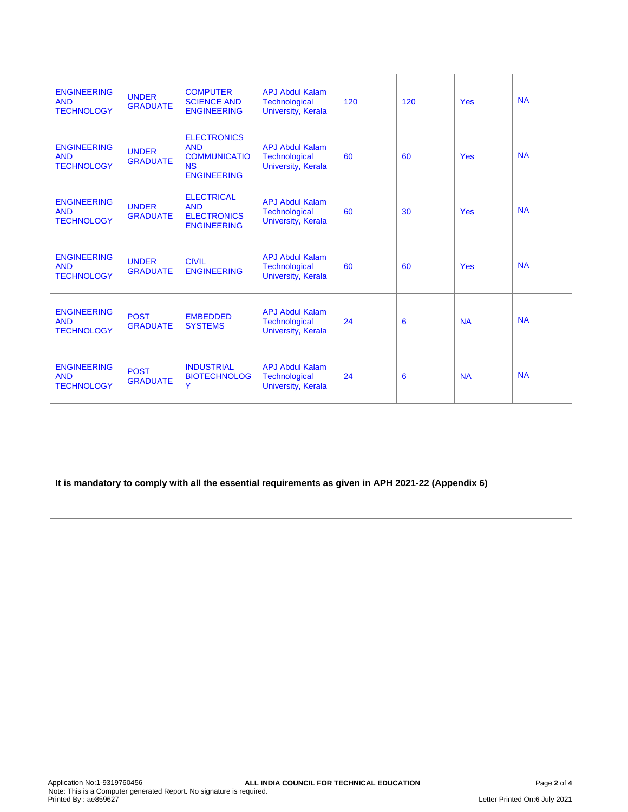| <b>ENGINEERING</b><br><b>AND</b><br><b>TECHNOLOGY</b> | <b>UNDER</b><br><b>GRADUATE</b> | <b>COMPUTER</b><br><b>SCIENCE AND</b><br><b>ENGINEERING</b>                                | <b>APJ Abdul Kalam</b><br><b>Technological</b><br><b>University, Kerala</b> | 120 | 120 | <b>Yes</b> | <b>NA</b> |
|-------------------------------------------------------|---------------------------------|--------------------------------------------------------------------------------------------|-----------------------------------------------------------------------------|-----|-----|------------|-----------|
| <b>ENGINEERING</b><br><b>AND</b><br><b>TECHNOLOGY</b> | <b>UNDER</b><br><b>GRADUATE</b> | <b>ELECTRONICS</b><br><b>AND</b><br><b>COMMUNICATIO</b><br><b>NS</b><br><b>ENGINEERING</b> | <b>APJ Abdul Kalam</b><br><b>Technological</b><br>University, Kerala        | 60  | 60  | <b>Yes</b> | <b>NA</b> |
| <b>ENGINEERING</b><br><b>AND</b><br><b>TECHNOLOGY</b> | <b>UNDER</b><br><b>GRADUATE</b> | <b>ELECTRICAL</b><br><b>AND</b><br><b>ELECTRONICS</b><br><b>ENGINEERING</b>                | <b>APJ Abdul Kalam</b><br><b>Technological</b><br><b>University, Kerala</b> | 60  | 30  | <b>Yes</b> | <b>NA</b> |
| <b>ENGINEERING</b><br><b>AND</b><br><b>TECHNOLOGY</b> | <b>UNDER</b><br><b>GRADUATE</b> | <b>CIVIL</b><br><b>ENGINEERING</b>                                                         | <b>APJ Abdul Kalam</b><br><b>Technological</b><br><b>University, Kerala</b> | 60  | 60  | <b>Yes</b> | <b>NA</b> |
| <b>ENGINEERING</b><br><b>AND</b><br><b>TECHNOLOGY</b> | <b>POST</b><br><b>GRADUATE</b>  | <b>EMBEDDED</b><br><b>SYSTEMS</b>                                                          | <b>APJ Abdul Kalam</b><br><b>Technological</b><br><b>University, Kerala</b> | 24  | 6   | <b>NA</b>  | <b>NA</b> |
| <b>ENGINEERING</b><br><b>AND</b><br><b>TECHNOLOGY</b> | <b>POST</b><br><b>GRADUATE</b>  | <b>INDUSTRIAL</b><br><b>BIOTECHNOLOG</b><br>Ÿ                                              | <b>APJ Abdul Kalam</b><br><b>Technological</b><br><b>University, Kerala</b> | 24  | 6   | <b>NA</b>  | <b>NA</b> |

**It is mandatory to comply with all the essential requirements as given in APH 2021-22 (Appendix 6)**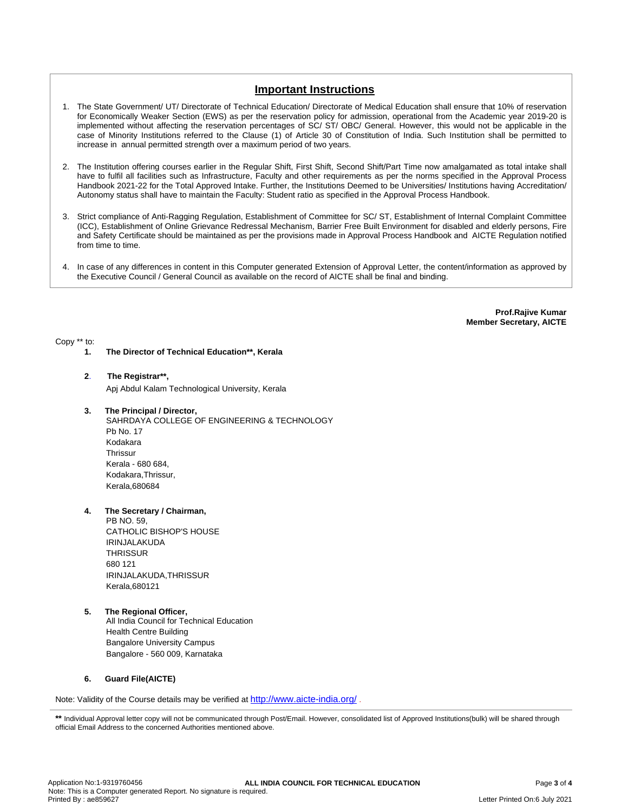# **Important Instructions**

- 1. The State Government/ UT/ Directorate of Technical Education/ Directorate of Medical Education shall ensure that 10% of reservation for Economically Weaker Section (EWS) as per the reservation policy for admission, operational from the Academic year 2019-20 is implemented without affecting the reservation percentages of SC/ ST/ OBC/ General. However, this would not be applicable in the case of Minority Institutions referred to the Clause (1) of Article 30 of Constitution of India. Such Institution shall be permitted to increase in annual permitted strength over a maximum period of two years.
- 2. The Institution offering courses earlier in the Regular Shift, First Shift, Second Shift/Part Time now amalgamated as total intake shall have to fulfil all facilities such as Infrastructure, Faculty and other requirements as per the norms specified in the Approval Process Handbook 2021-22 for the Total Approved Intake. Further, the Institutions Deemed to be Universities/ Institutions having Accreditation/ Autonomy status shall have to maintain the Faculty: Student ratio as specified in the Approval Process Handbook.
- 3. Strict compliance of Anti-Ragging Regulation, Establishment of Committee for SC/ ST, Establishment of Internal Complaint Committee (ICC), Establishment of Online Grievance Redressal Mechanism, Barrier Free Built Environment for disabled and elderly persons, Fire and Safety Certificate should be maintained as per the provisions made in Approval Process Handbook and AICTE Regulation notified from time to time.
- 4. In case of any differences in content in this Computer generated Extension of Approval Letter, the content/information as approved by the Executive Council / General Council as available on the record of AICTE shall be final and binding.

**Prof.Rajive Kumar Member Secretary, AICTE**

Copy \*\* to:

**1. The Director of Technical Education\*\*, Kerala**

### **2**. **The Registrar\*\*,**

Apj Abdul Kalam Technological University, Kerala

### **3. The Principal / Director,**

SAHRDAYA COLLEGE OF ENGINEERING & TECHNOLOGY Pb No. 17 Kodakara **Thrissur** Kerala - 680 684, Kodakara,Thrissur, Kerala,680684

# **4. The Secretary / Chairman,**

PB NO. 59, CATHOLIC BISHOP'S HOUSE IRINJALAKUDA **THRISSUR** 680 121 IRINJALAKUDA,THRISSUR Kerala,680121

### **5. The Regional Officer,**

All India Council for Technical Education Health Centre Building Bangalore University Campus Bangalore - 560 009, Karnataka

### **6. Guard File(AICTE)**

Note: Validity of the Course details may be verified at <http://www.aicte-india.org/> **.**

\*\* Individual Approval letter copy will not be communicated through Post/Email. However, consolidated list of Approved Institutions(bulk) will be shared through official Email Address to the concerned Authorities mentioned above.